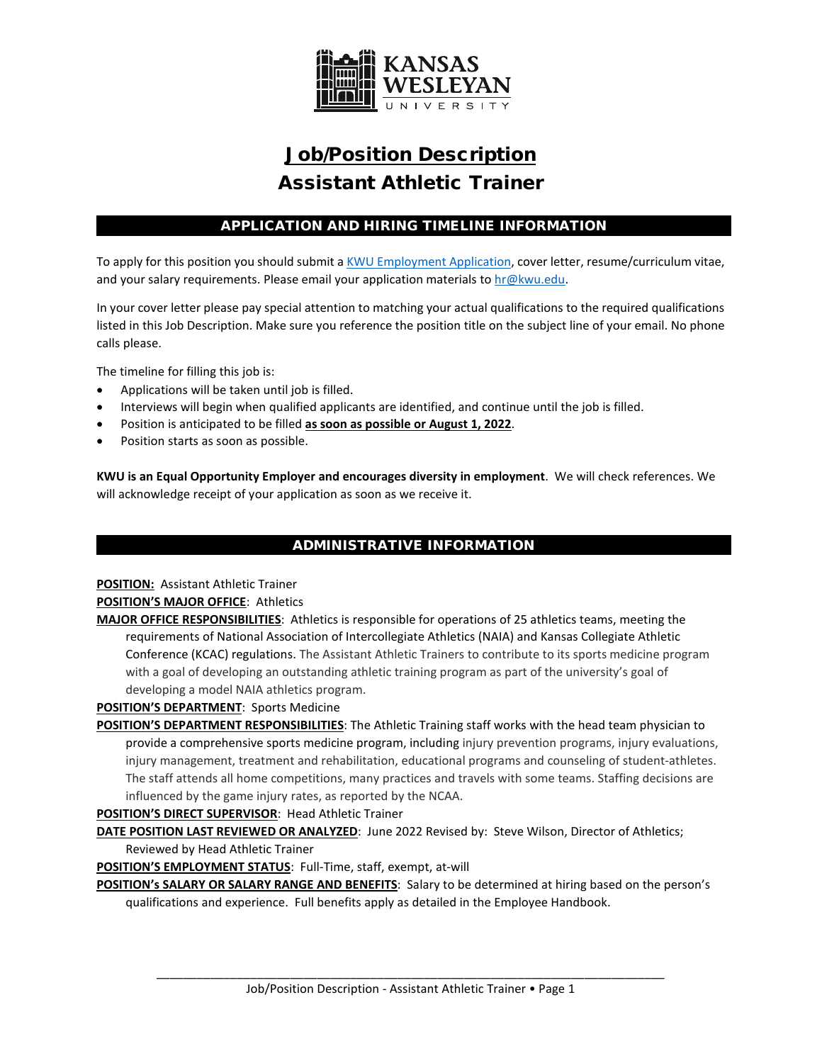

# Job/Position Description Assistant Athletic Trainer

# APPLICATION AND HIRING TIMELINE INFORMATION

To apply for this position you should submit [a KWU Employment Application,](https://www.kwu.edu/wp-content/uploads/Employment-Application-Form-ELECTRONIC-Revised-3-.pdf) cover letter, resume/curriculum vitae, and your salary requirements. Please email your application materials t[o hr@kwu.edu.](mailto:hr@kwu.edu)

In your cover letter please pay special attention to matching your actual qualifications to the required qualifications listed in this Job Description. Make sure you reference the position title on the subject line of your email. No phone calls please.

The timeline for filling this job is:

- Applications will be taken until job is filled.
- Interviews will begin when qualified applicants are identified, and continue until the job is filled.
- Position is anticipated to be filled **as soon as possible or August 1, 2022**.
- Position starts as soon as possible.

**KWU is an Equal Opportunity Employer and encourages diversity in employment**. We will check references. We will acknowledge receipt of your application as soon as we receive it.

## ADMINISTRATIVE INFORMATION

**POSITION:** Assistant Athletic Trainer **POSITION'S MAJOR OFFICE**: Athletics

**MAJOR OFFICE RESPONSIBILITIES**: Athletics is responsible for operations of 25 athletics teams, meeting the requirements of National Association of Intercollegiate Athletics (NAIA) and Kansas Collegiate Athletic Conference (KCAC) regulations. The Assistant Athletic Trainers to contribute to its sports medicine program with a goal of developing an outstanding athletic training program as part of the university's goal of developing a model NAIA athletics program.

**POSITION'S DEPARTMENT**: Sports Medicine

**POSITION'S DEPARTMENT RESPONSIBILITIES**: The Athletic Training staff works with the head team physician to provide a comprehensive sports medicine program, including injury prevention programs, injury evaluations, injury management, treatment and rehabilitation, educational programs and counseling of student-athletes. The staff attends all home competitions, many practices and travels with some teams. Staffing decisions are influenced by the game injury rates, as reported by the NCAA.

#### **POSITION'S DIRECT SUPERVISOR**: Head Athletic Trainer

**DATE POSITION LAST REVIEWED OR ANALYZED**: June 2022 Revised by: Steve Wilson, Director of Athletics;

Reviewed by Head Athletic Trainer

**POSITION'S EMPLOYMENT STATUS**: Full-Time, staff, exempt, at-will

**POSITION's SALARY OR SALARY RANGE AND BENEFITS**: Salary to be determined at hiring based on the person's qualifications and experience. Full benefits apply as detailed in the Employee Handbook.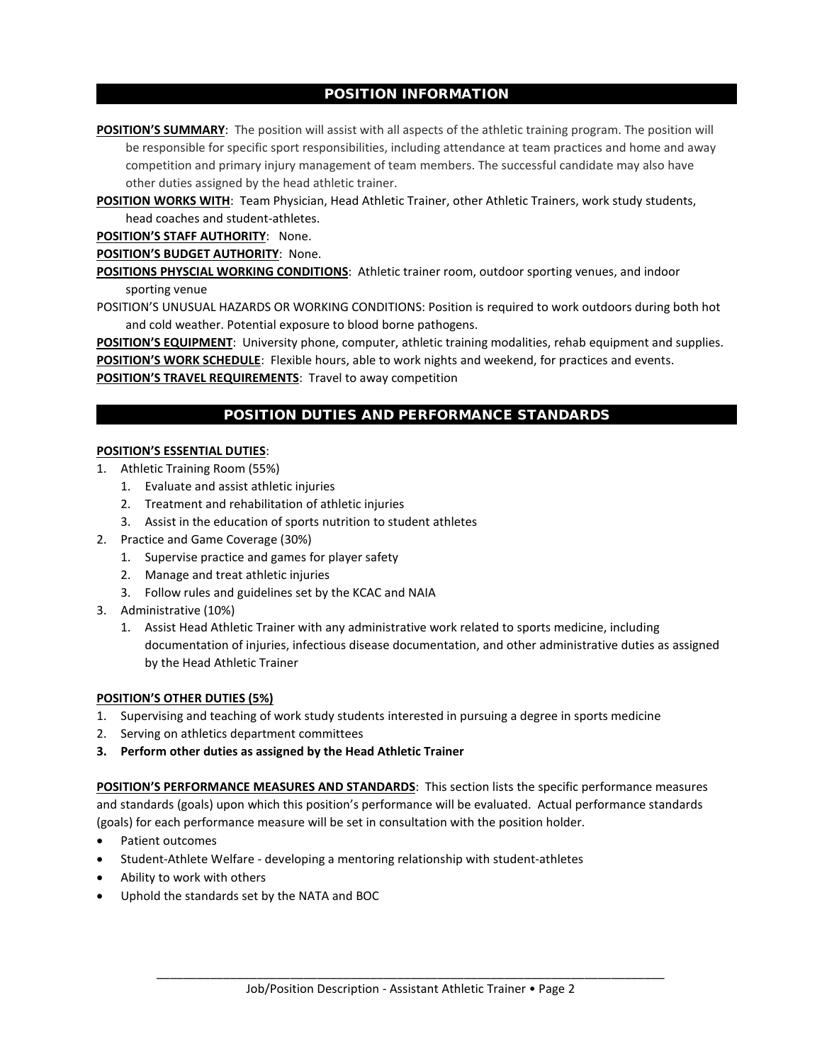## POSITION INFORMATION

**POSITION'S SUMMARY**: The position will assist with all aspects of the athletic training program. The position will be responsible for specific sport responsibilities, including attendance at team practices and home and away competition and primary injury management of team members. The successful candidate may also have other duties assigned by the head athletic trainer.

POSITION WORKS WITH: Team Physician, Head Athletic Trainer, other Athletic Trainers, work study students, head coaches and student-athletes.

**POSITION'S STAFF AUTHORITY**: None.

**POSITION'S BUDGET AUTHORITY**: None.

**POSITIONS PHYSCIAL WORKING CONDITIONS**: Athletic trainer room, outdoor sporting venues, and indoor sporting venue

POSITION'S UNUSUAL HAZARDS OR WORKING CONDITIONS: Position is required to work outdoors during both hot and cold weather. Potential exposure to blood borne pathogens.

**POSITION'S EQUIPMENT**: University phone, computer, athletic training modalities, rehab equipment and supplies. **POSITION'S WORK SCHEDULE**: Flexible hours, able to work nights and weekend, for practices and events.

**POSITION'S TRAVEL REQUIREMENTS**: Travel to away competition

## POSITION DUTIES AND PERFORMANCE STANDARDS

#### **POSITION'S ESSENTIAL DUTIES**:

- 1. Athletic Training Room (55%)
	- 1. Evaluate and assist athletic injuries
	- 2. Treatment and rehabilitation of athletic injuries
	- 3. Assist in the education of sports nutrition to student athletes
- 2. Practice and Game Coverage (30%)
	- 1. Supervise practice and games for player safety
	- 2. Manage and treat athletic injuries
	- 3. Follow rules and guidelines set by the KCAC and NAIA
- 3. Administrative (10%)
	- 1. Assist Head Athletic Trainer with any administrative work related to sports medicine, including documentation of injuries, infectious disease documentation, and other administrative duties as assigned by the Head Athletic Trainer

#### **POSITION'S OTHER DUTIES (5%)**

- 1. Supervising and teaching of work study students interested in pursuing a degree in sports medicine
- 2. Serving on athletics department committees
- **3. Perform other duties as assigned by the Head Athletic Trainer**

**POSITION'S PERFORMANCE MEASURES AND STANDARDS**: This section lists the specific performance measures and standards (goals) upon which this position's performance will be evaluated. Actual performance standards (goals) for each performance measure will be set in consultation with the position holder.

- Patient outcomes
- Student-Athlete Welfare developing a mentoring relationship with student-athletes
- Ability to work with others
- Uphold the standards set by the NATA and BOC